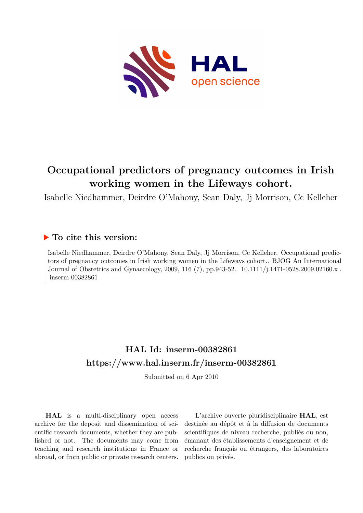

# **Occupational predictors of pregnancy outcomes in Irish working women in the Lifeways cohort.**

Isabelle Niedhammer, Deirdre O'Mahony, Sean Daly, Jj Morrison, Cc Kelleher

## **To cite this version:**

Isabelle Niedhammer, Deirdre O'Mahony, Sean Daly, Jj Morrison, Cc Kelleher. Occupational predictors of pregnancy outcomes in Irish working women in the Lifeways cohort.. BJOG An International Journal of Obstetrics and Gynaecology, 2009, 116 (7), pp.943-52. 10.1111/j.1471-0528.2009.02160.x.  $inserm-00382861$ 

# **HAL Id: inserm-00382861 <https://www.hal.inserm.fr/inserm-00382861>**

Submitted on 6 Apr 2010

**HAL** is a multi-disciplinary open access archive for the deposit and dissemination of scientific research documents, whether they are published or not. The documents may come from teaching and research institutions in France or abroad, or from public or private research centers.

L'archive ouverte pluridisciplinaire **HAL**, est destinée au dépôt et à la diffusion de documents scientifiques de niveau recherche, publiés ou non, émanant des établissements d'enseignement et de recherche français ou étrangers, des laboratoires publics ou privés.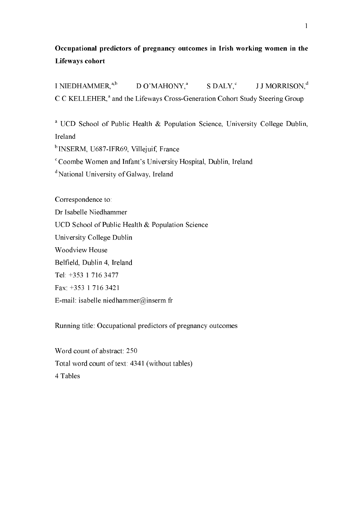## Occupational predictors of pregnancy outcomes in Irish working women in the Lifeways cohort

I NIEDHAMMER, $a,b$  $D O'MAHONY<sup>a</sup>$  S DALY,  $C$ J J MORRISON, d C C KELLEHER,<sup>a</sup> and the Lifeways Cross-Generation Cohort Study Steering Group

<sup>a</sup> UCD School of Public Health  $\&$  Population Science, University College Dublin, Ireland

<sup>b</sup> INSERM, U687-IFR69, Villejuif, France

Coombe Women and Infant's University Hospital, Dublin, Ireland

National University of Galway, Ireland

Correspondence to:

Dr Isabelle Niedhammer

UCD School of Public Health & Population Science

University College Dublin

Woodview House

Belfield, Dublin 4, Ireland

Tel: +353 1 716 3477

Fax: +353 1 716 3421

E-mail: isabelle.niedhammer@inserm.fr

Running title: Occupational predictors of pregnancy outcomes

Word count of abstract: 250 Total word count of text: 4341 (without tables) 4 Tables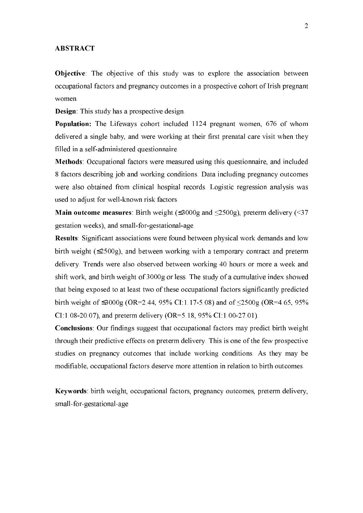### **ABSTRACT**

Objective: The objective of this study was to explore the association between occupational factors and pregnancy outcomes in a prospective cohort of Irish pregnant women.

**Design**: This study has a prospective design.

Population: The Lifeways cohort included 1124 pregnant women, 676 of whom delivered a single baby, and were working at their first prenatal care visit when they filled in a self-administered questionnaire.

Methods: Occupational factors were measured using this questionnaire, and included 8 factors describing job and working conditions. Data including pregnancy outcomes were also obtained from clinical hospital records. Logistic regression analysis was used to adjust for well-known risk factors.

**Main outcome measures**: Birth weight ( $\leq$ 3000g and  $\leq$ 2500g), preterm delivery ( $\leq$ 37 gestation weeks), and small-for-gestational-age.

Results: Significant associations were found between physical work demands and low birth weight (≤2500g), and between working with a temporary contract and preterm delivery. Trends were also observed between working 40 hours or more a week and shift work, and birth weight of 3000g or less. The study of a cumulative index showed that being exposed to at least two of these occupational factors significantly predicted birth weight of ≤3000g (OR=2.44, 95% CI:1.17-5.08) and of ≤2500g (OR=4.65, 95% CI:1.08-20.07), and preterm delivery (OR=5.18, 95% CI:1.00-27.01).

Conclusions: Our findings suggest that occupational factors may predict birth weight through their predictive effects on preterm delivery. This is one of the few prospective studies on pregnancy outcomes that include working conditions. As they may be modifiable, occupational factors deserve more attention in relation to birth outcomes.

Keywords: birth weight, occupational factors, pregnancy outcomes, preterm delivery, small-for-gestational-age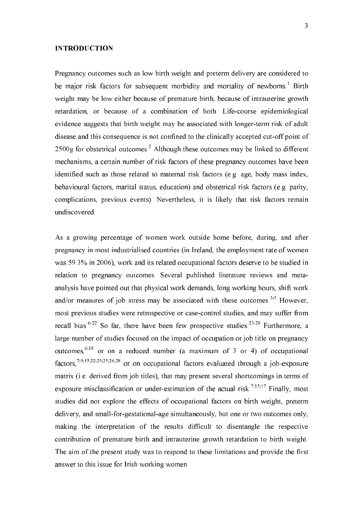### **INTRODUCTION**

Pregnancy outcomes such as low birth weight and preterm delivery are considered to be major risk factors for subsequent morbidity and mortality of newborns.<sup>1</sup> Birth weight may be low either because of premature birth, because of intrauterine growth retardation, or because of a combination of both. Life-course epidemiological evidence suggests that birth weight may be associated with longer-term risk of adult disease and this consequence is not confined to the clinically accepted cut-off point of  $2500g$  for obstetrical outcomes.<sup>2</sup> Although these outcomes may be linked to different mechanisms, a certain number of risk factors of these pregnancy outcomes have been identified such as those related to maternal risk factors (e.g. age, body mass index, behavioural factors, marital status, education) and obstetrical risk factors (e.g. parity, complications, previous events). Nevertheless, it is likely that risk factors remain undiscovered.

As a growing percentage of women work outside home before, during, and after pregnancy in most industrialised countries (in Ireland, the employment rate of women was 59.3% in 2006), work and its related occupational factors deserve to be studied in relation to pregnancy outcomes. Several published literature reviews and metaanalysis have pointed out that physical work demands, long working hours, shift work and/or measures of job stress may be associated with these outcomes.<sup>3-5</sup> However, most previous studies were retrospective or case-control studies, and may suffer from recall bias.<sup>6-22</sup> So far, there have been few prospective studies.<sup>23-28</sup> Furthermore, a large number of studies focused on the impact of occupation or job title on pregnancy outcomes,  $6,18$  or on a reduced number (a maximum of 3 or 4) of occupational factors,<sup>7,9,15,22,23,25,26,28</sup> or on occupational factors evaluated through a job-exposure matrix (i.e. derived from job titles), that may present several shortcomings in terms of exposure misclassification or under-estimation of the actual risk.  $7,15,17$  Finally, most studies did not explore the effects of occupational factors on birth weight, preterm delivery, and small-for-gestational-age simultaneously, but one or two outcomes only, making the interpretation of the results difficult to disentangle the respective contribution of premature birth and intrauterine growth retardation to birth weight. The aim of the present study was to respond to these limitations and provide the first answer to this issue for Irish working women.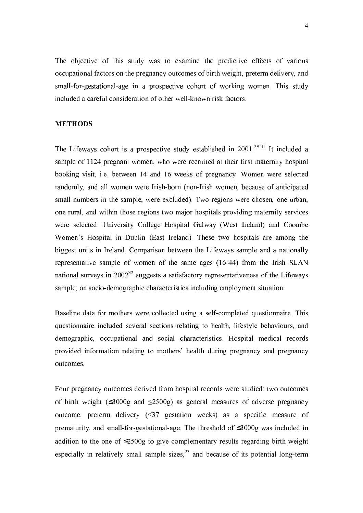The objective of this study was to examine the predictive effects of various occupational factors on the pregnancy outcomes of birth weight, preterm delivery, and small-for-gestational-age in a prospective cohort of working women. This study included a careful consideration of other well-known risk factors.

## **METHODS**

The Lifeways cohort is a prospective study established in  $2001$ .<sup>29-31</sup> It included a sample of 1124 pregnant women, who were recruited at their first maternity hospital booking visit, i.e. between 14 and 16 weeks of pregnancy. Women were selected randomly, and all women were Irish-born (non-Irish women, because of anticipated small numbers in the sample, were excluded). Two regions were chosen, one urban, one rural, and within those regions two major hospitals providing maternity services were selected: University College Hospital Galway (West Ireland) and Coombe Women's Hospital in Dublin (East Ireland). These two hospitals are among the biggest units in Ireland. Comparison between the Lifeways sample and a nationally representative sample of women of the same ages  $(16-44)$  from the Irish SLAN national surveys in  $2002^{32}$  suggests a satisfactory representativeness of the Lifeways sample, on socio-demographic characteristics including employment situation.

Baseline data for mothers were collected using a self-completed questionnaire. This questionnaire included several sections relating to health, lifestyle behaviours, and demographic, occupational and social characteristics. Hospital medical records provided information relating to mothers' health during pregnancy and pregnancy outcomes.

Four pregnancy outcomes derived from hospital records were studied: two outcomes of birth weight  $(\leq 3000g)$  and  $\leq 2500g$  as general measures of adverse pregnancy outcome, preterm delivery (<37 gestation weeks) as a specific measure of prematurity, and small-for-gestational-age. The threshold of  $\leq 3000g$  was included in addition to the one of ≤2500g to give complementary results regarding birth weight especially in relatively small sample sizes,  $23$  and because of its potential long-term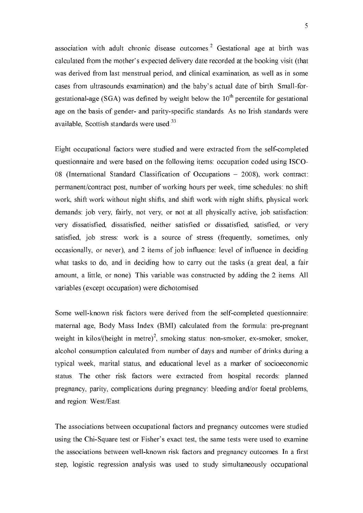association with adult chronic disease outcomes.<sup>2</sup> Gestational age at birth was calculated from the mother's expected delivery date recorded at the booking visit (that was derived from last menstrual period, and clinical examination, as well as in some cases from ultrasounds examination) and the baby's actual date of birth. Small-forgestational-age (SGA) was defined by weight below the  $10<sup>th</sup>$  percentile for gestational age on the basis of gender- and parity-specific standards. As no Irish standards were available, Scottish standards were used.<sup>33</sup>

Eight occupational factors were studied and were extracted from the self-completed questionnaire and were based on the following items: occupation coded using ISCO-08 (International Standard Classification of Occupations – 2008), work contract: permanent/contract post, number of working hours per week, time schedules: no shift work, shift work without night shifts, and shift work with night shifts, physical work demands: job very, fairly, not very, or not at all physically active, job satisfaction: very dissatisfied, dissatisfied, neither satisfied or dissatisfied, satisfied, or very satisfied, job stress: work is a source of stress (frequently, sometimes, only occasionally, or never), and 2 items of job influence: level of influence in deciding what tasks to do, and in deciding how to carry out the tasks (a great deal, a fair amount, a little, or none). This variable was constructed by adding the 2 items. All variables (except occupation) were dichotomised.

Some well-known risk factors were derived from the self-completed questionnaire: maternal age, Body Mass Index (BMI) calculated from the formula: pre-pregnant weight in kilos/(height in metre)<sup>2</sup>, smoking status: non-smoker, ex-smoker, smoker, alcohol consumption calculated from number of days and number of drinks during a typical week, marital status, and educational level as a marker of socioeconomic status. The other risk factors were extracted from hospital records: planned pregnancy, parity, complications during pregnancy: bleeding and/or foetal problems, and region: West/East.

The associations between occupational factors and pregnancy outcomes were studied using the Chi-Square test or Fisher's exact test, the same tests were used to examine the associations between well-known risk factors and pregnancy outcomes. In a first step, logistic regression analysis was used to study simultaneously occupational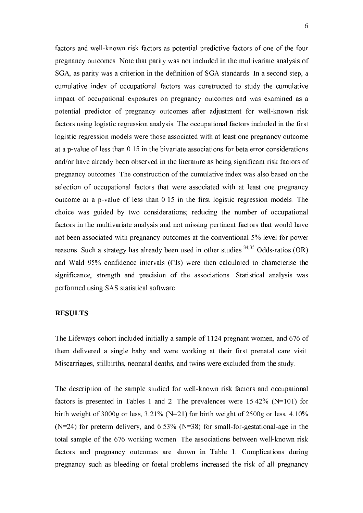factors and well-known risk factors as potential predictive factors of one of the four pregnancy outcomes. Note that parity was not included in the multivariate analysis of SGA, as parity was a criterion in the definition of SGA standards. In a second step, a cumulative index of occupational factors was constructed to study the cumulative impact of occupational exposures on pregnancy outcomes and was examined as a potential predictor of pregnancy outcomes after adjustment for well-known risk factors using logistic regression analysis. The occupational factors included in the first logistic regression models were those associated with at least one pregnancy outcome at a p-value of less than  $0.15$  in the bivariate associations for beta error considerations and/or have already been observed in the literature as being significant risk factors of pregnancy outcomes. The construction of the cumulative index was also based on the selection of occupational factors that were associated with at least one pregnancy outcome at a p-value of less than  $0.15$  in the first logistic regression models. The choice was guided by two considerations; reducing the number of occupational factors in the multivariate analysis and not missing pertinent factors that would have not been associated with pregnancy outcomes at the conventional 5% level for power reasons. Such a strategy has already been used in other studies.<sup>34,35</sup> Odds-ratios (OR) and Wald 95% confidence intervals (CIs) were then calculated to characterise the significance, strength and precision of the associations. Statistical analysis was performed using SAS statistical software.

#### **RESULTS**

The Lifeways cohort included initially a sample of 1124 pregnant women, and 676 of them delivered a single baby and were working at their first prenatal care visit. Miscarriages, stillbirths, neonatal deaths, and twins were excluded from the study.

The description of the sample studied for well-known risk factors and occupational factors is presented in Tables 1 and 2. The prevalences were  $15.42\%$  (N=101) for birth weight of 3000g or less,  $3.21\%$  (N=21) for birth weight of 2500g or less, 4.10% (N=24) for preterm delivery, and  $6.53\%$  (N=38) for small-for-gestational-age in the total sample of the 676 working women. The associations between well-known risk factors and pregnancy outcomes are shown in Table 1. Complications during pregnancy such as bleeding or foetal problems increased the risk of all pregnancy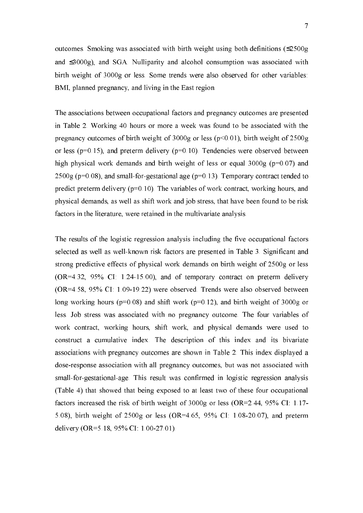outcomes. Smoking was associated with birth weight using both definitions (≤2500g and ≤3000g), and SGA. Nulliparity and alcohol consumption was associated with birth weight of 3000g or less. Some trends were also observed for other variables: BMI, planned pregnancy, and living in the East region.

The associations between occupational factors and pregnancy outcomes are presented in Table 2. Working 40 hours or more a week was found to be associated with the pregnancy outcomes of birth weight of 3000g or less (p<0.01), birth weight of 2500g or less ( $p=0.15$ ), and preterm delivery ( $p=0.10$ ). Tendencies were observed between high physical work demands and birth weight of less or equal  $3000g$  (p=0.07) and 2500g ( $p=0.08$ ), and small-for-gestational age ( $p=0.13$ ). Temporary contract tended to predict preterm delivery  $(p=0.10)$ . The variables of work contract, working hours, and physical demands, as well as shift work and job stress, that have been found to be risk factors in the literature, were retained in the multivariate analysis.

The results of the logistic regression analysis including the five occupational factors selected as well as well-known risk factors are presented in Table 3. Significant and strong predictive effects of physical work demands on birth weight of 2500g or less  $(OR=4.32, 95\% \text{ CI: } 1.24-15.00)$ , and of temporary contract on preterm delivery  $(OR=4.58, 95\% \text{ CI: } 1.09-19.22)$  were observed. Trends were also observed between long working hours (p=0.08) and shift work (p=0.12), and birth weight of 3000g or less. Job stress was associated with no pregnancy outcome. The four variables of work contract, working hours, shift work, and physical demands were used to construct a cumulative index. The description of this index and its bivariate associations with pregnancy outcomes are shown in Table 2. This index displayed a dose-response association with all pregnancy outcomes, but was not associated with small-for-gestational-age. This result was confirmed in logistic regression analysis (Table 4) that showed that being exposed to at least two of these four occupational factors increased the risk of birth weight of  $3000g$  or less (OR=2.44, 95% CI: 1.17-5.08), birth weight of  $2500g$  or less (OR=4.65, 95% CI: 1.08-20.07), and preterm delivery (OR=5.18, 95% CI: 1.00-27.01).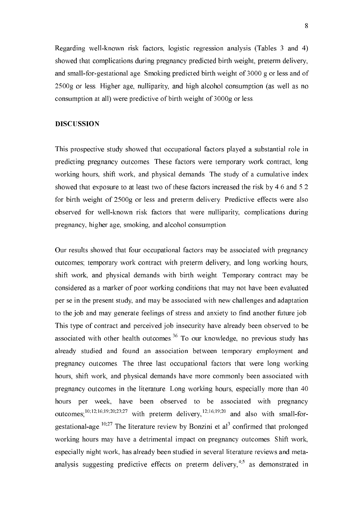Regarding well-known risk factors, logistic regression analysis (Tables  $3$  and  $4$ ) showed that complications during pregnancy predicted birth weight, preterm delivery, and small-for-gestational age. Smoking predicted birth weight of 3000 g or less and of 2500g or less. Higher age, nulliparity, and high alcohol consumption (as well as no consumption at all) were predictive of birth weight of 3000g or less.

## **DISCUSSION**

This prospective study showed that occupational factors played a substantial role in predicting pregnancy outcomes. These factors were temporary work contract, long working hours, shift work, and physical demands. The study of a cumulative index showed that exposure to at least two of these factors increased the risk by 4.6 and 5.2 for birth weight of 2500g or less and preterm delivery. Predictive effects were also observed for well-known risk factors that were nulliparity, complications during pregnancy, higher age, smoking, and alcohol consumption.

Our results showed that four occupational factors may be associated with pregnancy outcomes; temporary work contract with preterm delivery, and long working hours, shift work, and physical demands with birth weight. Temporary contract may be considered as a marker of poor working conditions that may not have been evaluated per se in the present study, and may be associated with new challenges and adaptation to the job and may generate feelings of stress and anxiety to find another future job. This type of contract and perceived job insecurity have already been observed to be associated with other health outcomes. $36$  To our knowledge, no previous study has already studied and found an association between temporary employment and pregnancy outcomes. The three last occupational factors that were long working hours, shift work, and physical demands have more commonly been associated with pregnancy outcomes in the literature. Long working hours, especially more than 40 hours per week, have been observed to be associated with pregnancy outcomes;<sup>10,12,16,19,20,23,27</sup> with preterm delivery,<sup>12,16,19,20</sup> and also with small-forgestational-age.  $10,27$  The literature review by Bonzini et al<sup>3</sup> confirmed that prolonged working hours may have a detrimental impact on pregnancy outcomes. Shift work, especially night work, has already been studied in several literature reviews and metaanalysis suggesting predictive effects on preterm delivery,  $4.5$  as demonstrated in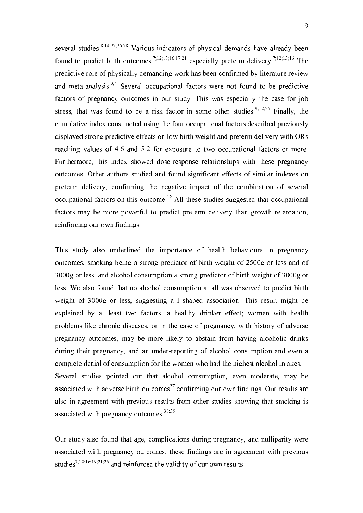several studies.  $8,14,22,26,28$  Various indicators of physical demands have already been found to predict birth outcomes,<sup>7,12,13,16,17,21</sup> especially preterm delivery.<sup>7,12,13,16</sup> The predictive role of physically demanding work has been confirmed by literature review and meta-analysis.<sup>3,4</sup> Several occupational factors were not found to be predictive factors of pregnancy outcomes in our study. This was especially the case for job stress, that was found to be a risk factor in some other studies.<sup>9,12,25</sup> Finally, the cumulative index constructed using the four occupational factors described previously displayed strong predictive effects on low birth weight and preterm delivery with ORs reaching values of 4.6 and 5.2 for exposure to two occupational factors or more. Furthermore, this index showed dose-response relationships with these pregnancy outcomes. Other authors studied and found significant effects of similar indexes on preterm delivery, confirming the negative impact of the combination of several occupational factors on this outcome.<sup>12</sup> All these studies suggested that occupational factors may be more powerful to predict preterm delivery than growth retardation, reinforcing our own findings.

This study also underlined the importance of health behaviours in pregnancy outcomes, smoking being a strong predictor of birth weight of 2500g or less and of 3000g or less, and alcohol consumption a strong predictor of birth weight of 3000g or less. We also found that no alcohol consumption at all was observed to predict birth weight of 3000g or less, suggesting a J-shaped association. This result might be explained by at least two factors: a healthy drinker effect; women with health problems like chronic diseases, or in the case of pregnancy, with history of adverse pregnancy outcomes, may be more likely to abstain from having alcoholic drinks during their pregnancy, and an under-reporting of alcohol consumption and even a complete denial of consumption for the women who had the highest alcohol intakes. Several studies pointed out that alcohol consumption, even moderate, may be associated with adverse birth outcomes<sup>37</sup> confirming our own findings. Our results are also in agreement with previous results from other studies showing that smoking is associated with pregnancy outcomes.<sup>38;39</sup>

Our study also found that age, complications during pregnancy, and nulliparity were associated with pregnancy outcomes; these findings are in agreement with previous studies<sup>7,12,16,19,21,26</sup> and reinforced the validity of our own results.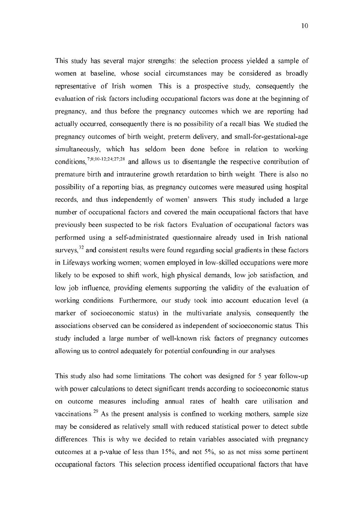This study has several major strengths: the selection process yielded a sample of women at baseline, whose social circumstances may be considered as broadly representative of Irish women. This is a prospective study, consequently the evaluation of risk factors including occupational factors was done at the beginning of pregnancy, and thus before the pregnancy outcomes which we are reporting had actually occurred, consequently there is no possibility of a recall bias. We studied the pregnancy outcomes of birth weight, preterm delivery, and small-for-gestational-age simultaneously, which has seldom been done before in relation to working conditions,  $^{7,8,10-12,24,27,28}$  and allows us to disentangle the respective contribution of premature birth and intrauterine growth retardation to birth weight. There is also no possibility of a reporting bias, as pregnancy outcomes were measured using hospital records, and thus independently of women' answers. This study included a large number of occupational factors and covered the main occupational factors that have previously been suspected to be risk factors. Evaluation of occupational factors was performed using a self-administrated questionnaire already used in Irish national surveys,  $32$  and consistent results were found regarding social gradients in these factors in Lifeways working women; women employed in low-skilled occupations were more likely to be exposed to shift work, high physical demands, low job satisfaction, and low job influence, providing elements supporting the validity of the evaluation of working conditions. Furthermore, our study took into account education level (a marker of socioeconomic status) in the multivariate analysis, consequently the associations observed can be considered as independent of socioeconomic status. This study included a large number of well-known risk factors of pregnancy outcomes allowing us to control adequately for potential confounding in our analyses.

This study also had some limitations. The cohort was designed for 5 year follow-up with power calculations to detect significant trends according to socioeconomic status on outcome measures including annual rates of health care utilisation and vaccinations.<sup>29</sup> As the present analysis is confined to working mothers, sample size may be considered as relatively small with reduced statistical power to detect subtle differences. This is why we decided to retain variables associated with pregnancy outcomes at a p-value of less than  $15\%$ , and not  $5\%$ , so as not miss some pertinent occupational factors. This selection process identified occupational factors that have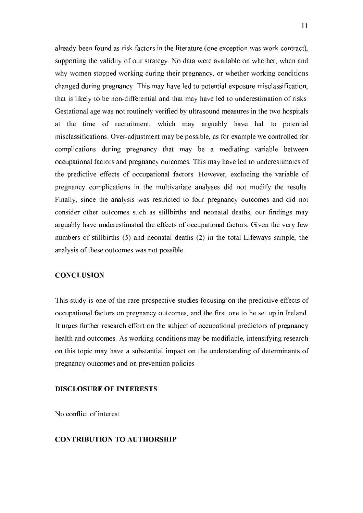already been found as risk factors in the literature (one exception was work contract), supporting the validity of our strategy. No data were available on whether, when and why women stopped working during their pregnancy, or whether working conditions changed during pregnancy. This may have led to potential exposure misclassification, that is likely to be non-differential and that may have led to underestimation of risks. Gestational age was not routinely verified by ultrasound measures in the two hospitals at the time of recruitment, which may arguably have led to potential misclassifications. Over-adjustment may be possible, as for example we controlled for complications during pregnancy that may be a mediating variable between occupational factors and pregnancy outcomes. This may have led to underestimates of the predictive effects of occupational factors. However, excluding the variable of pregnancy complications in the multivariate analyses did not modify the results. Finally, since the analysis was restricted to four pregnancy outcomes and did not consider other outcomes such as stillbirths and neonatal deaths, our findings may arguably have underestimated the effects of occupational factors. Given the very few numbers of stillbirths (5) and neonatal deaths (2) in the total Lifeways sample, the analysis of these outcomes was not possible.

### **CONCLUSION**

This study is one of the rare prospective studies focusing on the predictive effects of occupational factors on pregnancy outcomes, and the first one to be set up in Ireland. It urges further research effort on the subject of occupational predictors of pregnancy health and outcomes. As working conditions may be modifiable, intensifying research on this topic may have a substantial impact on the understanding of determinants of pregnancy outcomes and on prevention policies.

#### **DISCLOSURE OF INTERESTS**

No conflict of interest

## **CONTRIBUTION TO AUTHORSHIP**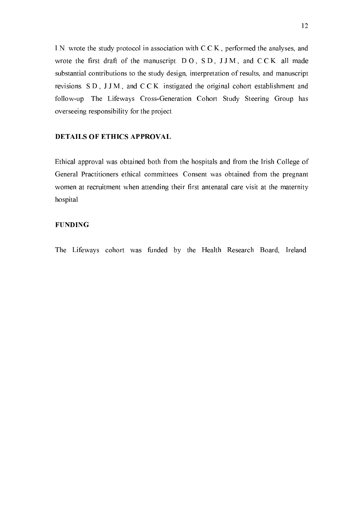I.N. wrote the study protocol in association with C.C.K., performed the analyses, and wrote the first draft of the manuscript. D.O., S.D., J.J.M., and C.C.K. all made substantial contributions to the study design, interpretation of results, and manuscript revisions. S.D., J.J.M., and C.C.K. instigated the original cohort establishment and follow-up. The Lifeways Cross-Generation Cohort Study Steering Group has overseeing responsibility for the project.

## DETAILS OF ETHICS APPROVAL

Ethical approval was obtained both from the hospitals and from the Irish College of General Practitioners ethical committees. Consent was obtained from the pregnant women at recruitment when attending their first antenatal care visit at the maternity hospital.

## FUNDING

The Lifeways cohort was funded by the Health Research Board, Ireland.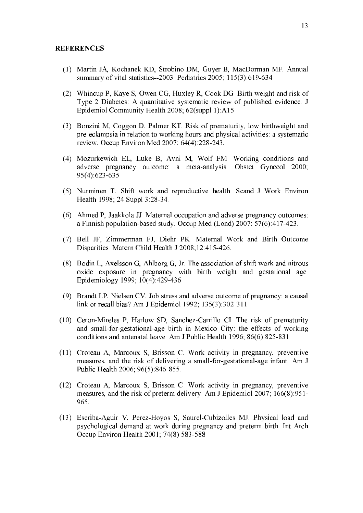#### REFERENCES

- (1) Martin JA, Kochanek KD, Strobino DM, Guyer B, MacDorman MF. Annual summary of vital statistics $-2003$ . Pediatrics 2005; 115(3):619-634.
- (2) Whincup P, Kaye S, Owen CG, Huxley R, Cook DG. Birth weight and risk of Type 2 Diabetes: A quantitative systematic review of published evidence. J Epidemiol Community Health 2008; 62(suppl 1):A15.
- (3) Bonzini M, Coggon D, Palmer KT. Risk of prematurity, low birthweight and pre-eclampsia in relation to working hours and physical activities: a systematic review. Occup Environ Med 2007; 64(4): 228-243.
- (4) Mozurkewich EL, Luke B, Avni M, Wolf FM. Working conditions and adverse pregnancy outcome: a meta-analysis. Obstet Gynecol 2000;  $95(4)$ :623-635.
- (5) Nurminen T. Shift work and reproductive health. Scand J Work Environ Health 1998; 24 Suppl 3:28-34.
- (6) Ahmed P, Jaakkola JJ. Maternal occupation and adverse pregnancy outcomes: a Finnish population-based study. Occup Med (Lond) 2007;  $57(6)$ : 417-423.
- (7) Bell JF, Zimmerman FJ, Diehr PK. Maternal Work and Birth Outcome Disparities. Matern Child Health J 2008;12:415-426.
- (8) Bodin L, Axelsson G, Ahlborg G, Jr. The association of shift work and nitrous oxide exposure in pregnancy with birth weight and gestational age. Epidemiology 1999; 10(4):429-436.
- (9) Brandt LP, Nielsen CV. Job stress and adverse outcome of pregnancy: a causal link or recall bias? Am J Epidemiol 1992;  $135(3):302-311$ .
- $(10)$  Ceron-Mireles P, Harlow SD, Sanchez-Carrillo CI. The risk of prematurity and small-for-gestational-age birth in Mexico City: the effects of working conditions and antenatal leave. Am J Public Health 1996;  $86(6)$ :  $825-831$ .
- (11) Croteau A, Marcoux S, Brisson C. Work activity in pregnancy, preventive measures, and the risk of delivering a small-for-gestational-age infant. Am J Public Health 2006; 96(5):846-855.
- (12) Croteau A, Marcoux S, Brisson C. Work activity in pregnancy, preventive measures, and the risk of preterm delivery. Am J Epidemiol 2007; 166(8):951-965.
- (13) Escriba-Aguir V, Perez-Hoyos S, Saurel-Cubizolles MJ. Physical load and psychological demand at work during pregnancy and preterm birth. Int Arch Occup Environ Health  $2001$ ;  $74(8)$ : 583-588.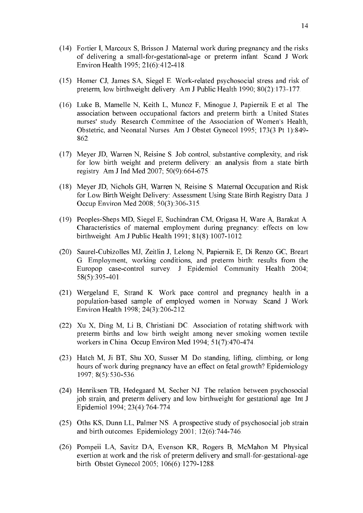- (14) Fortier I, Marcoux S, Brisson J. Maternal work during pregnancy and the risks of delivering a small-for-gestational-age or preterm infant. Scand J Work Environ Health 1995; 21(6): 412-418.
- $(15)$  Homer CJ, James SA, Siegel E. Work-related psychosocial stress and risk of preterm, low birthweight delivery. Am J Public Health 1990;  $80(2)$ : 173-177.
- (16) Luke B, Mamelle N, Keith L, Munoz F, Minogue J, Papiernik E et al. The association between occupational factors and preterm birth: a United States nurses' study. Research Committee of the Association of Women's Health, Obstetric, and Neonatal Nurses. Am J Obstet Gynecol 1995; 173(3 Pt 1):849! 862.
- (17) Meyer JD, Warren N, Reisine S. Job control, substantive complexity, and risk for low birth weight and preterm delivery: an analysis from a state birth registry. Am J Ind Med 2007;  $50(9)$ :664-675.
- (18) Meyer JD, Nichols GH, Warren N, Reisine S. Maternal Occupation and Risk for Low Birth Weight Delivery: Assessment Using State Birth Registry Data. J Occup Environ Med 2008; 50(3):306-315.
- (19) Peoples-Sheps MD, Siegel E, Suchindran CM, Origasa H, Ware A, Barakat A. Characteristics of maternal employment during pregnancy: effects on low birthweight. Am J Public Health 1991; 81(8): 1007-1012.
- (20) Saurel-Cubizolles MJ, Zeitlin J, Lelong N, Papiernik E, Di Renzo GC, Breart G. Employment, working conditions, and preterm birth: results from the Europop case-control survey. J Epidemiol Community Health 2004; 58(5):395-401.
- (21) Wergeland E, Strand K. Work pace control and pregnancy health in a population!based sample of employed women in Norway. Scand J Work Environ Health 1998; 24(3): 206-212.
- (22) Xu X, Ding M, Li B, Christiani DC. Association of rotating shiftwork with preterm births and low birth weight among never smoking women textile workers in China. Occup Environ Med 1994;  $51(7)$ : 470-474.
- (23) Hatch M, Ji BT, Shu XO, Susser M. Do standing, lifting, climbing, or long hours of work during pregnancy have an effect on fetal growth? Epidemiology 1997; 8(5):530-536.
- (24) Henriksen TB, Hedegaard M, Secher NJ. The relation between psychosocial job strain, and preterm delivery and low birthweight for gestational age. Int J Epidemiol 1994; 23(4):764-774.
- (25) Oths KS, Dunn LL, Palmer NS. A prospective study of psychosocial job strain and birth outcomes. Epidemiology  $2001$ ;  $12(6)$ : 744-746.
- (26) Pompeii LA, Savitz DA, Evenson KR, Rogers B, McMahon M. Physical exertion at work and the risk of preterm delivery and small-for-gestational-age birth. Obstet Gynecol 2005; 106(6):1279-1288.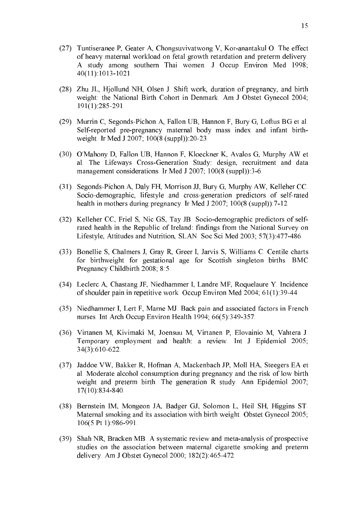- (27) Tuntiseranee P, Geater A, Chongsuvivatwong V, Kor-anantakul O. The effect of heavy maternal workload on fetal growth retardation and preterm delivery. A study among southern Thai women. J Occup Environ Med 1998; 40(11):1013-1021.
- (28) Zhu JL, Hjollund NH, Olsen J. Shift work, duration of pregnancy, and birth weight: the National Birth Cohort in Denmark. Am J Obstet Gynecol 2004; 191(1):285-291.
- (29) Murrin C, Segonds-Pichon A, Fallon UB, Hannon F, Bury G, Loftus BG et al. Self-reported pre-pregnancy maternal body mass index and infant birthweight. Ir Med J 2007;  $100(8 \text{ (suppl)})$ : 20-23.
- (30) O'Mahony D, Fallon UB, Hannon F, Kloeckner K, Avalos G, Murphy AW et al. The Lifeways Cross-Generation Study: design, recruitment and data management considerations. Ir Med J 2007:  $100(8 \text{ (subpl)})$ :3-6.
- (31) Segonds-Pichon A, Daly FH, Morrison JJ, Bury G, Murphy AW, Kelleher CC. Socio-demographic, lifestyle and cross-generation predictors of self-rated health in mothers during pregnancy. Ir Med J  $2007$ ;  $100(8 \text{ (suppl)})$ : 7-12.
- $(32)$  Kelleher CC, Friel S, Nic GS, Tay JB. Socio-demographic predictors of selfrated health in the Republic of Ireland: findings from the National Survey on Lifestyle, Attitudes and Nutrition, SLAN. Soc Sci Med 2003; 57(3):477-486.
- (33) Bonellie S, Chalmers J, Gray R, Greer I, Jarvis S, Williams C. Centile charts for birthweight for gestational age for Scottish singleton births. BMC Pregnancy Childbirth 2008; 8:5.
- (34) Leclerc A, Chastang JF, Niedhammer I, Landre MF, Roquelaure Y. Incidence of shoulder pain in repetitive work. Occup Environ Med 2004;  $61(1)$ : 39-44.
- (35) Niedhammer I, Lert F, Marne MJ. Back pain and associated factors in French nurses. Int Arch Occup Environ Health 1994;  $66(5)$ : 349-357.
- (36) Virtanen M, Kivimaki M, Joensuu M, Virtanen P, Elovainio M, Vahtera J. Temporary employment and health: a review. Int J Epidemiol 2005; 34(3):610-622.
- (37) Jaddoe VW, Bakker R, Hofman A, Mackenbach JP, Moll HA, Steegers EA et al. Moderate alcohol consumption during pregnancy and the risk of low birth weight and preterm birth. The generation R study. Ann Epidemiol 2007; 17(10):834-840.
- (38) Bernstein IM, Mongeon JA, Badger GJ, Solomon L, Heil SH, Higgins ST. Maternal smoking and its association with birth weight. Obstet Gynecol 2005; 106(5 Pt 1):986-991.
- $(39)$  Shah NR, Bracken MB. A systematic review and meta-analysis of prospective studies on the association between maternal cigarette smoking and preterm delivery. Am J Obstet Gynecol 2000;  $182(2)$ : 465-472.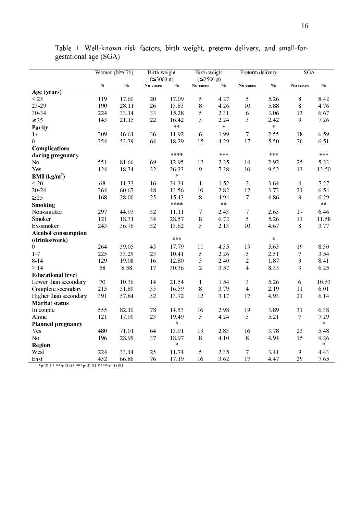|                                                                  |           | Women $(N=676)$ | <b>Birth weight</b>      |                 | <b>Birth weight</b>     |               | Preterm delivery        |       | SGA                     |               |
|------------------------------------------------------------------|-----------|-----------------|--------------------------|-----------------|-------------------------|---------------|-------------------------|-------|-------------------------|---------------|
|                                                                  |           |                 | $( \leq 3000 \text{ g})$ |                 | $( \le 2500 \text{ g})$ |               |                         |       |                         |               |
|                                                                  | ${\bf N}$ | $\frac{0}{0}$   | No cases                 | $\mathcal{V}_0$ | No cases                | $\frac{0}{0}$ | No cases                | $\%$  | No cases                | $\frac{0}{0}$ |
| Age (years)                                                      |           |                 |                          |                 |                         |               |                         |       |                         |               |
| < 25                                                             | 119       | 17.60           | 20                       | 17.09           | 5                       | 4.27          | 5                       | 5.26  | 8                       | 8.42          |
| $25 - 29$                                                        | 190       | 28.11           | 26                       | 13.83           | 8                       | 4.26          | 10                      | 5.88  | $\,$ 8 $\,$             | 4.76          |
| 30-34                                                            | 224       | 33.14           | 33                       | 15.28           | 5                       | 2.31          | 6                       | 3.06  | 13                      | 6.67          |
| $\geq 35$                                                        | 143       | 21.15           | 22                       | 16.42           | 3                       | 2.24          | 3                       | 2.42  | 9                       | 7.26          |
| Parity                                                           |           |                 |                          | $\ast$ $\ast$   |                         | $\ast$        |                         | $\,$  |                         |               |
| $1+$                                                             | 309       | 46.61           | 36                       | 11.92           | 6                       | 1.99          | $\tau$                  | 2.55  | 18                      | 6.59          |
| 0                                                                | 354       | 53.39           | 64                       | 18.29           | 15                      | 4.29          | 17                      | 5.50  | 20                      | 6.51          |
| Complications                                                    |           |                 |                          |                 |                         |               |                         |       |                         |               |
| during pregnancy                                                 |           |                 |                          | ****            |                         | ***           |                         | ***   |                         | $***$         |
| No                                                               | 551       | 81.66           | 69                       | 12.95           | 12                      | 2.25          | 14                      | 2.92  | 25                      | 5.23          |
| Yes                                                              | 124       | 18.34           | 32                       | 26.23           | 9                       | 7.38          | 10                      | 9.52  | 13                      | 12.50         |
| <b>BMI</b> ( $kg/m2$ )                                           |           |                 |                          | $\star$         |                         |               |                         |       |                         |               |
| < 20                                                             | 68        | 11.33           | 16                       | 24.24           | $\mathbf{1}$            | 1.52          | $\overline{2}$          | 3.64  | $\overline{\mathbf{4}}$ | 7.27          |
| $20 - 24$                                                        | 364       | 60.67           | 48                       | 13.56           | 10                      | 2.82          | 12                      | 3.73  | 21                      | 6.54          |
| $\geq 25$                                                        | 168       | 28.00           | 25                       | 15.43           | 8                       | 4.94          | $\overline{7}$          | 4.86  | 9                       | 6.29          |
| Smoking                                                          |           |                 |                          | ****            |                         | $\ast$ $\ast$ |                         |       |                         | $\ast$ $\ast$ |
| Non-smoker                                                       | 297       | 44.93           | 32                       | 11.11           | $\tau$                  | 2.43          | 7                       | 2.65  | 17                      | 6.46          |
| Smoker                                                           | 121       | 18.31           | 34                       | 28.57           | 8                       | 6.72          | 5                       | 5.26  | 11                      | 11.58         |
| Ex-smoker                                                        | 243       | 36.76           | 32                       | 13.62           | 5                       | 2.13          | 10                      | 4.67  | 8                       | 3.77          |
| <b>Alcohol consumption</b>                                       |           |                 |                          |                 |                         |               |                         |       |                         |               |
| (drinks/week)                                                    |           |                 |                          | ***             |                         |               |                         | $\pm$ |                         |               |
| 0                                                                | 264       | 39.05           | 45                       | 17.79           | 11                      | 4.35          | 13                      | 5.63  | 19                      | 8.30          |
| $1-7$                                                            | 225       | 33.29           | 23                       | 10.41           | 5                       | 2.26          | 5                       | 2.51  | $\overline{7}$          | 3.54          |
| $8 - 14$                                                         | 129       | 19.08           | 16                       | 12.80           | 3                       | 2.40          | $\overline{c}$          | 1.87  | 9                       | 8.41          |
| >14                                                              | 58        | 8.58            | 17                       | 30.36           | $\overline{2}$          | 3.57          | 4                       | 8.33  | 3                       | 6.25          |
| <b>Educational level</b>                                         |           |                 |                          |                 |                         |               |                         |       |                         |               |
| Lower than secondary                                             | 70        | 10.36           | 14                       | 21.54           | $\mathbf{1}$            | 1.54          | 3                       | 5.26  | 6                       | 10.53         |
| Complete secondary                                               | 215       | 31.80           | 35                       | 16.59           | $\bf 8$                 | 3.79          | $\overline{\mathbf{4}}$ | 2.19  | 11                      | 6.01          |
| Higher than secondary                                            | 391       | 57.84           | 52                       | 13.72           | 12                      | 3.17          | 17                      | 4.93  | 21                      | 6.14          |
| <b>Marital</b> status                                            |           |                 |                          |                 |                         |               |                         |       |                         |               |
| In couple                                                        | 555       | 82.10           | 78                       | 14.53           | 16                      | 2.98          | 19                      | 3.89  | 31                      | 6.38          |
| Alone                                                            | 121       | 17.90           | 23                       | 19.49           | 5                       | 4.24          | 5                       | 5.21  | $\overline{7}$          | 7.29          |
| <b>Planned pregnancy</b>                                         |           |                 |                          | $\ast$          |                         |               |                         |       |                         | $\pm$         |
| Yes                                                              | 480       | 71.01           | 64                       | 13.91           | 13                      | 2.83          | 16                      | 3.78  | 23                      | 5.48          |
| N <sub>o</sub>                                                   | 196       | 28.99           | 37                       | 18.97           | 8                       | 4.10          | 8                       | 4.94  | 15                      | 9.26          |
| Region                                                           |           |                 |                          | $\ast$          |                         |               |                         |       |                         | $\ast$        |
| West                                                             | 224       | 33.14           | 25                       | 11.74           | 5                       | 2.35          | 7                       | 3.41  | 9                       | 4.43          |
| East<br>$*_{n}$ /0 15 $*_{n}$ /0 05 $*_{n}$ /0 01 $*_{n}$ /0 001 | 452       | 66.86           | 76                       | 17.19           | 16                      | 3.62          | 17                      | 4.47  | 29                      | 7.65          |

Table 1. Well-known risk factors, birth weight, preterm delivery, and small-forgestational age (SGA)

\*p<0.15 \*\*p<0.05 \*\*\*p<0.01 \*\*\*\*p<0.001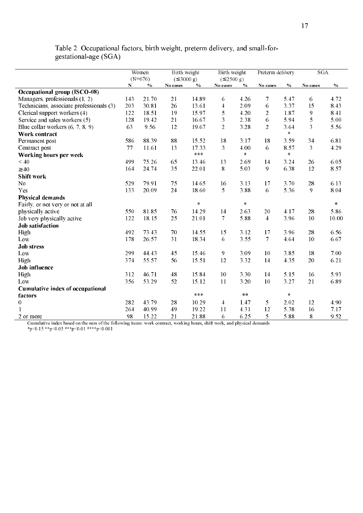|                                          |     | Women         | Birth weight             |                | <b>Birth weight</b>      |               | Preterm delivery |               | SGA                     |        |
|------------------------------------------|-----|---------------|--------------------------|----------------|--------------------------|---------------|------------------|---------------|-------------------------|--------|
|                                          |     | $(N=676)$     | $( \leq 3000 \text{ g})$ |                | $( \leq 2500 \text{ g})$ |               |                  |               |                         |        |
| <b>Occupational group (ISCO-08)</b>      | N   | $\frac{0}{0}$ | No cases                 | $\%$           | No cases                 | $\%$          | No cases         | $\frac{0}{6}$ | No cases                | $\%$   |
| Managers, professionals (1, 2)           | 143 | 21.70         | 21                       | 14.89          | 6                        | 4.26          | 7                | 5.47          | 6                       | 4.72   |
| Technicians, associate professionals (3) | 203 | 30.81         | 26                       | 13.61          | $\overline{\mathbf{4}}$  | 2.09          | 6                | 3.37          | 15                      | 8.43   |
| Clerical support workers (4)             | 122 | 18.51         | 19                       | 15.97          | 5                        | 4.20          | $\overline{2}$   | 1.87          | 9                       | 8.41   |
| Service and sales workers (5)            | 128 | 19.42         | 21                       | 16.67          | 3                        | 2.38          | 6                | 5.94          | 5                       | 5.00   |
| Blue collar workers $(6, 7, 8, 9)$       | 63  | 9.56          | 12                       | 19.67          | $\overline{2}$           | 3.28          | $\overline{2}$   | 3.64          | $\overline{\mathbf{3}}$ | 5.56   |
| Work contract                            |     |               |                          |                |                          |               |                  | $\ast$        |                         |        |
| Permanent post                           | 586 | 88.39         | 88                       | 15.52          | 18                       | 3.17          | 18               | 3.59          | 34                      | 6.81   |
|                                          | 77  | 11.61         | 13                       | 17.33          | 3                        | 4.00          | 6                | 8.57          | 3                       | 4.29   |
| Contract post                            |     |               |                          | $***$          |                          | $\pm$         |                  | $\pm$         |                         |        |
| Working hours per week<br>< 40           | 499 | 75.26         | 65                       |                | 13                       | 2.69          |                  | 3.24          | 26                      | 6.05   |
|                                          | 164 | 24.74         | 35                       | 13.46<br>22.01 | 8                        | 5.03          | 14<br>9          | 6.38          | 12                      | 8.57   |
| $\geq 40$                                |     |               |                          |                |                          |               |                  |               |                         |        |
| Shift work                               |     |               |                          |                |                          |               |                  |               |                         |        |
| N <sub>0</sub>                           | 529 | 79.91         | 75                       | 14.65          | 16                       | 3.13          | 17               | 3.70          | 28                      | 6.13   |
| Yes                                      | 133 | 20.09         | 24                       | 18.60          | 5                        | 3.88          | 6                | 5.36          | 9                       | 8.04   |
| <b>Physical demands</b>                  |     |               |                          |                |                          |               |                  |               |                         |        |
| Fairly, or not very or not at all        |     |               |                          | $\star$        |                          | $\ast$        |                  |               |                         | $\ast$ |
| physically active                        | 550 | 81.85         | 76                       | 14.29          | 14                       | 2.63          | 20               | 4.17          | 28                      | 5.86   |
| Job very physically active               | 122 | 18.15         | 25                       | 21.01          | 7                        | 5.88          | $\overline{4}$   | 3.96          | 10                      | 10.00  |
| <b>Job</b> satisfaction                  |     |               |                          |                |                          |               |                  |               |                         |        |
| High                                     | 492 | 73.43         | 70                       | 14.55          | 15                       | 3.12          | 17               | 3.96          | 28                      | 6.56   |
| Low                                      | 178 | 26.57         | 31                       | 18.34          | 6                        | 3.55          | $\overline{7}$   | 4.64          | 10                      | 6.67   |
| <b>Job stress</b>                        |     |               |                          |                |                          |               |                  |               |                         |        |
| Low                                      | 299 | 44.43         | 45                       | 15.46          | 9                        | 3.09          | 10               | 3.85          | 18                      | 7.00   |
| High                                     | 374 | 55.57         | 56                       | 15.51          | 12                       | 3.32          | 14               | 4.35          | 20                      | 6.21   |
| Job influence                            |     |               |                          |                |                          |               |                  |               |                         |        |
| High                                     | 312 | 46.71         | 48                       | 15.84          | 10                       | 3.30          | 14               | 5.15          | 16                      | 5.93   |
| Low                                      | 356 | 53.29         | 52                       | 15.12          | 11                       | 3.20          | 10               | 3.27          | 21                      | 6.89   |
| Cumulative index of occupational         |     |               |                          |                |                          |               |                  |               |                         |        |
| factors                                  |     |               |                          | $***$          |                          | $\ast$ $\ast$ |                  | $\ast$        |                         |        |
| $\boldsymbol{0}$                         | 282 | 43.79         | 28                       | 10.29          | 4                        | 1.47          | 5                | 2.02          | 12                      | 4.90   |
| 1                                        | 264 | 40.99         | 49                       | 19.22          | 11                       | 4.31          | 12               | 5.38          | 16                      | 7.17   |
| 2 or more                                | 98  | 15.22         | 21                       | 21.88          | 6                        | 6.25          | 5                | 5.88          | 8                       | 9.52   |

Cumulative index based on the sum of the following items: work contract, working hours, shift work, and physical demands  $\frac{p}{0.15} \cdot \frac{100}{100} \cdot \frac{1000}{1000} \cdot \frac{10000}{10000} \cdot \frac{100000}{100000} \cdot \frac{10000000000000000000$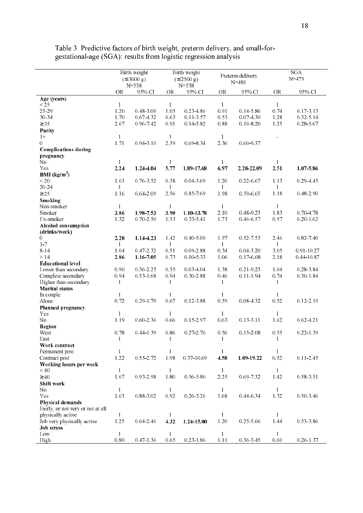|                                             |                      | Birth weight<br>$( \leq 3000 \text{ g})$<br>$N = 538$ |                      | Birth weight<br>$( \le 2500 \text{ g})$<br>$N = 538$ |                      | Preterm delivery<br>$N = 481$ |                      | SGA<br>$N = 479$ |
|---------------------------------------------|----------------------|-------------------------------------------------------|----------------------|------------------------------------------------------|----------------------|-------------------------------|----------------------|------------------|
|                                             | <b>OR</b>            | 95% CI                                                | <b>OR</b>            | 95% CI                                               | <b>OR</b>            | 95% CI                        | <b>OR</b>            | 95% CI           |
| Age (years)                                 |                      |                                                       |                      |                                                      |                      |                               |                      |                  |
| $\overline{25}$<br>25-29                    | 1<br>1.20            | 0.48-3.00                                             | $\mathbf{1}$<br>1.05 | 0.23 4.86                                            | $\mathbf{1}$<br>0.91 | 0.14-5.86                     | $\mathbf{1}$<br>0.74 | 0.17-3.13        |
| 30-34                                       | 170                  | 0.67-4.32                                             | 0.63                 | 0.11-3.57                                            | 0.53                 | 0.07-4.30                     | 1.28                 | 0 32 5 14        |
| $\geq$ 35                                   | 2.67                 | 0.96-7.42                                             | 0.91                 | 0.14-5.82                                            | 0.88                 | $0.10 - 8.20$                 | 1.25                 | $0.28 - 5.67$    |
| Parity                                      |                      |                                                       |                      |                                                      |                      |                               |                      |                  |
| $1+$                                        | $\mathbf{1}$         |                                                       | $\mathbf{1}$         |                                                      | 1                    |                               |                      |                  |
| $\Omega$                                    | 1.71                 | 0.94-3.10                                             | 2 3 9                | 0.69-8.34                                            | 2.36                 | 0.60-9.37                     |                      |                  |
| <b>Complications during</b>                 |                      |                                                       |                      |                                                      |                      |                               |                      |                  |
| pregnancy                                   |                      |                                                       |                      |                                                      |                      |                               |                      |                  |
| No                                          | $\mathbf{1}$         |                                                       | $\mathbf{1}$         |                                                      | $\mathbf{1}$         |                               | 1                    |                  |
| Yes                                         | 2.24                 | 1.24-4.04                                             | 5.77                 | 1.89-17.68                                           | 6.97                 | 2.20-22.09                    | 2.51                 | 1.07-5.86        |
| <b>BMI</b> ( $kg/m2$ )                      |                      |                                                       |                      |                                                      |                      |                               |                      |                  |
| < 20                                        | 1.63                 | 0.76-3.52                                             | 0.38                 | 0.04-3.69                                            | 1.20                 | $0.22 - 6.67$                 | 1.13                 | 0 29 4 45        |
| 20-24                                       | $\mathbf{1}$         |                                                       | $\mathbf{1}$         |                                                      | 1                    |                               | $\mathbf{1}$         |                  |
| $\geq$ 25                                   | 1.16                 | $0.64 - 2.09$                                         | 2 5 6                | 0.85-7.69                                            | 1.98                 | 0.59-6.65                     | 1.18                 | 0.48-2.90        |
| Smoking                                     |                      |                                                       |                      |                                                      |                      |                               |                      |                  |
| Non-smoker                                  | $\mathbf{1}$         |                                                       | $\mathbf{1}$         |                                                      | $\mathbf{1}$         |                               | $\mathbf{1}$         |                  |
| Smoker                                      | 3.86                 | 1.98-7.53                                             | 3.90                 | 1.10-13.78                                           | 2.10                 | 048-923                       | 1.83                 | 0.70-4.78        |
| Ex-smoker                                   | 1.32                 | $0.70 - 2.50$                                         | 133                  | 033541                                               | 1.73                 | 0.46-6.57                     | 0.57                 | $0.20 - 1.62$    |
| Alcohol consumption                         |                      |                                                       |                      |                                                      |                      |                               |                      |                  |
| (drinks/week)                               |                      |                                                       |                      |                                                      |                      |                               |                      |                  |
| $\Omega$                                    | 2.20                 | 1.14-4.23                                             | 1.42                 | 0.40-5.00                                            | 1.97                 | 0.52-7.53                     | 2.46                 | 0.82-7.40        |
| 1.7                                         | $\mathbf{1}$         |                                                       | $\mathbf{1}$         |                                                      | 1                    |                               | 1                    |                  |
| 8-14                                        | 1.04                 | 0 47 2 32                                             | 0.51                 | 0.09-2.88                                            | 0.34                 | 0.04-3.20                     | 3.05                 | 091-1027         |
| >14                                         | 2.86                 | 1.16-7.05                                             | 0.73                 | 010533                                               | 1.06                 | 0.17-6.68                     | 2.18                 | 0 44-10 87       |
| <b>Educational level</b>                    |                      |                                                       |                      |                                                      |                      |                               |                      |                  |
| Lower than secondary                        | 0.90                 | 0 36 2 25                                             | 0.35                 | 0.03 4.04                                            | 1.38                 | 0.21-9.23                     | 1.04                 | 0.28-3.84        |
| Complete secondary<br>Higher than secondary | 0.94                 | $0.53 - 1.68$                                         | 0.94<br>1            | 0.30-2.88                                            | 0.46                 | $0.11 - 1.94$                 | 0.74<br>1            | $0.30 - 1.84$    |
| <b>Marital</b> status                       | 1                    |                                                       |                      |                                                      | -1                   |                               |                      |                  |
| In couple                                   | 1                    |                                                       | 1                    |                                                      | 1                    |                               | 1                    |                  |
| Alone                                       | 0 72                 | 0.29-1.79                                             | 0.67                 | 012388                                               | 0.59                 | 0.08-4.32                     | 0.52                 | 0 12 2 19        |
| Planned pregnancy                           |                      |                                                       |                      |                                                      |                      |                               |                      |                  |
| Yes                                         | 1                    |                                                       | $\mathbf{1}$         |                                                      | -1                   |                               | 1                    |                  |
| No                                          | 1.19                 | 0.60-2.36                                             | 0.66                 | 015-297                                              | 0.63                 | 0 13 - 3 11                   | 1.62                 | $0.62 - 4.21$    |
| Region                                      |                      |                                                       |                      |                                                      |                      |                               |                      |                  |
| West                                        | 0.78                 | 0.44-1.39                                             | 0.86                 | 0.27-2.76                                            | 0.56                 | 015208                        | 0.55                 | $0.22 - 1.39$    |
| East                                        | $\mathbf{1}$         |                                                       | $\mathbf{1}$         |                                                      | $\mathbf{1}$         |                               | $\mathbf{1}$         |                  |
| Work contract                               |                      |                                                       |                      |                                                      |                      |                               |                      |                  |
| Permanent post                              | $\mathbf{1}$         |                                                       | $\mathbf{1}$         |                                                      | $\mathbf{1}$         |                               | $\mathbf{1}$         |                  |
| Contract post                               | 1.22                 | 0.55-2.72                                             | 1.98                 | 0 37 10 69                                           | 4.58                 | 1.09-19.22                    | 0.52                 | $0.11 - 2.45$    |
| Working hours per week                      |                      |                                                       |                      |                                                      |                      |                               |                      |                  |
| < 40                                        | $\mathbf{1}$         |                                                       | $\mathbf{1}$         |                                                      | 1                    |                               | 1                    |                  |
| $\geq 40$                                   | 1.67                 | 0.93-2.98                                             | $1.80\,$             | 0.56-5.80                                            | 2.25                 | 0.69-7.32                     | 1.42                 | 0.58-3.51        |
| Shift work                                  |                      |                                                       |                      |                                                      |                      |                               |                      |                  |
| No                                          | $\mathbf{1}$         |                                                       | $\mathbf{1}$         |                                                      | $\mathbf{1}$         |                               | $\mathbf{1}$         |                  |
| Yes                                         | 1.63                 | 0.88 3.02                                             | 0.92                 | 0.26-3.26                                            | 1.68                 | 0.44-6.34                     | 1.32                 | 0.50-3.46        |
| Physical demands                            |                      |                                                       |                      |                                                      |                      |                               |                      |                  |
| Fairly, or not very or not at all           |                      |                                                       |                      |                                                      |                      |                               |                      |                  |
| physically active                           | $\mathbf{1}$         |                                                       | $\mathbf{1}$         |                                                      | $\mathbf{1}$         |                               | 1                    |                  |
| Job very physically active                  | 1.25                 | 0.64-2.46                                             | 4.32                 | 1.24-15.00                                           | $1.20\,$             | 0.25-5.66                     | 1.44                 | 0 53 3 86        |
| Job stress                                  |                      |                                                       |                      |                                                      |                      |                               | $\mathbf{1}$         |                  |
| Low<br>High                                 | $\mathbf{1}$<br>0.80 | 0.47-1.36                                             | $\mathbf{1}$<br>0.65 | 023-186                                              | $\mathbf{1}$<br>1.11 | 0.36-3.45                     | 0.60                 | 0.26-1.37        |
|                                             |                      |                                                       |                      |                                                      |                      |                               |                      |                  |

Table 3. Predictive factors of birth weight, preterm delivery, and small-for-<br>gestational-age (SGA): results from logistic regression analysis